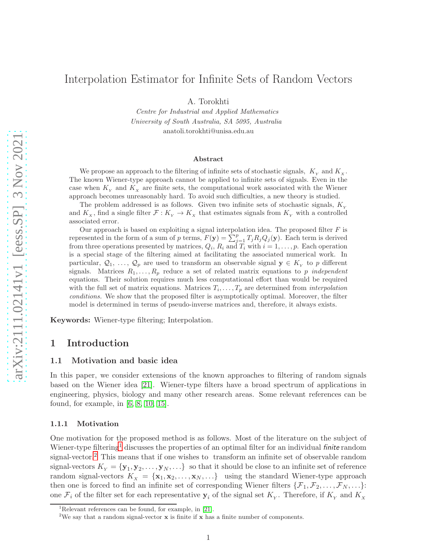# Interpolation Estimator for Infinite Sets of Random Vectors

A. Torokhti

Centre for Industrial and Applied Mathematics University of South Australia, SA 5095, Australia anatoli.torokhti@unisa.edu.au

#### Abstract

We propose an approach to the filtering of infinite sets of stochastic signals,  $K_{\rm y}$  and  $K_{\rm x}$ . The known Wiener-type approach cannot be applied to infinite sets of signals. Even in the case when  $K<sub>x</sub>$  and  $K<sub>x</sub>$  are finite sets, the computational work associated with the Wiener approach becomes unreasonably hard. To avoid such difficulties, a new theory is studied.

The problem addressed is as follows. Given two infinite sets of stochastic signals,  $K_y$ and  $K_X$ , find a single filter  $\mathcal{F}: K_Y \to K_X$  that estimates signals from  $K_Y$  with a controlled associated error.

Our approach is based on exploiting a signal interpolation idea. The proposed filter  $F$  is represented in the form of a sum of p terms,  $F(\mathbf{y}) = \sum_{j=1}^{p} T_j R_j Q_j(\mathbf{y})$ . Each term is derived from three operations presented by matrices,  $Q_i$ ,  $R_i$  and  $T_i$  with  $i = 1, \ldots, p$ . Each operation is a special stage of the filtering aimed at facilitating the associated numerical work. In particular,  $Q_1, \ldots, Q_p$  are used to transform an observable signal  $y \in K_Y$  to p different signals. Matrices  $R_1, \ldots, R_p$  reduce a set of related matrix equations to p *independent* equations. Their solution requires much less computational effort than would be required with the full set of matrix equations. Matrices  $T_i, \ldots, T_p$  are determined from *interpolation* conditions. We show that the proposed filter is asymptotically optimal. Moreover, the filter model is determined in terms of pseudo-inverse matrices and, therefore, it always exists.

Keywords: Wiener-type filtering; Interpolation.

# <span id="page-0-2"></span>1 Introduction

### 1.1 Motivation and basic idea

In this paper, we consider extensions of the known approaches to filtering of random signals based on the Wiener idea [\[21\]](#page-17-0). Wiener-type filters have a broad spectrum of applications in engineering, physics, biology and many other research areas. Some relevant references can be found, for example, in [\[6,](#page-16-0) [8,](#page-17-1) [10,](#page-17-2) [15\]](#page-17-3).

#### 1.1.1 Motivation

One motivation for the proposed method is as follows. Most of the literature on the subject of Wiener-type filtering<sup>[1](#page-0-0)</sup> discusses the properties of an optimal filter for an individual *finite* random signal-vector.<sup>[2](#page-0-1)</sup> This means that if one wishes to transform an infinite set of observable random signal-vectors  $K_{Y} = {\bf y}_1, {\bf y}_2, \ldots, {\bf y}_N, \ldots$  so that it should be close to an infinite set of reference random signal-vectors  $K_X = {\mathbf{x}_1, \mathbf{x}_2, \dots, \mathbf{x}_N, \dots}$  using the standard Wiener-type approach then one is forced to find an infinite set of corresponding Wiener filters  $\{\mathcal{F}_1, \mathcal{F}_2, \ldots, \mathcal{F}_N, \ldots\}$ : one  $\mathcal{F}_i$  of the filter set for each representative  $y_i$  of the signal set  $K_\gamma$ . Therefore, if  $K_\gamma$  and  $K_\chi$ 

<sup>&</sup>lt;sup>1</sup>Relevant references can be found, for example, in  $[21]$ .

<span id="page-0-1"></span><span id="page-0-0"></span><sup>&</sup>lt;sup>2</sup>We say that a random signal-vector  $x$  is finite if  $x$  has a finite number of components.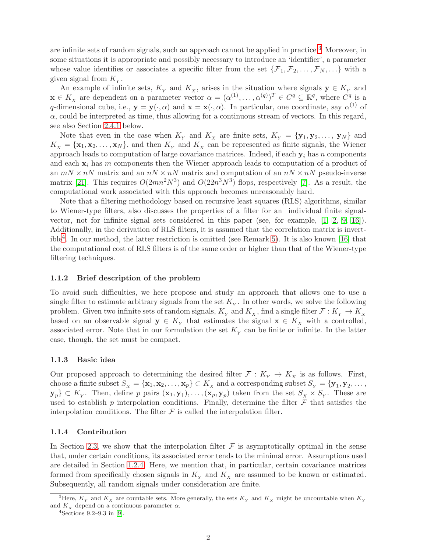are infinite sets of random signals, such an approach cannot be applied in practice.[3](#page-1-0) Moreover, in some situations it is appropriate and possibly necessary to introduce an 'identifier', a parameter whose value identifies or associates a specific filter from the set  $\{\mathcal{F}_1, \mathcal{F}_2, \ldots, \mathcal{F}_N, \ldots\}$  with a given signal from  $K_{Y}$ .

An example of infinite sets,  $K_Y$  and  $K_X$ , arises in the situation where signals  $y \in K_Y$  and  $\mathbf{x} \in K_{\scriptscriptstyle{X}}$  are dependent on a parameter vector  $\alpha = (\alpha^{(1)}, \dots, \alpha^{(q)})^T \in C^q \subseteq \mathbb{R}^q$ , where  $C^q$  is a q-dimensional cube, i.e.,  $\mathbf{y} = \mathbf{y}(\cdot, \alpha)$  and  $\mathbf{x} = \mathbf{x}(\cdot, \alpha)$ . In particular, one coordinate, say  $\alpha^{(1)}$  of  $\alpha$ , could be interpreted as time, thus allowing for a continuous stream of vectors. In this regard, see also Section [2.4.1](#page-10-0) below.

Note that even in the case when  $K_Y$  and  $K_X$  are finite sets,  $K_Y = {\bf{y}_1, y_2, \ldots, y_N}$  and  $K_x = {\mathbf{x}_1, \mathbf{x}_2, \dots, \mathbf{x}_N}$ , and then  $K_y$  and  $K_x$  can be represented as finite signals, the Wiener approach leads to computation of large covariance matrices. Indeed, if each  $y_i$  has n components and each  $x_i$  has m components then the Wiener approach leads to computation of a product of an  $mN \times nN$  matrix and an  $nN \times nN$  matrix and computation of an  $nN \times nN$  pseudo-inverse matrix [\[21\]](#page-17-0). This requires  $O(2mn^2N^3)$  and  $O(22n^3N^3)$  flops, respectively [\[7\]](#page-16-1). As a result, the computational work associated with this approach becomes unreasonably hard.

Note that a filtering methodology based on recursive least squares (RLS) algorithms, similar to Wiener-type filters, also discusses the properties of a filter for an individual finite signalvector, not for infinite signal sets considered in this paper (see, for example, [\[1,](#page-16-2) [2,](#page-16-3) [9,](#page-17-4) [16\]](#page-17-5)). Additionally, in the derivation of RLS filters, it is assumed that the correlation matrix is invertible[4](#page-1-1) . In our method, the latter restriction is omitted (see Remark [5\)](#page-6-0). It is also known [\[16\]](#page-17-5) that the computational cost of RLS filters is of the same order or higher than that of the Wiener-type filtering techniques.

### 1.1.2 Brief description of the problem

To avoid such difficulties, we here propose and study an approach that allows one to use a single filter to estimate arbitrary signals from the set  $K_Y$ . In other words, we solve the following problem. Given two infinite sets of random signals,  $K_{_Y}$  and  $K_{_X}$ , find a single filter  $\mathcal{F}: K_{_Y} \to K_{_X}$ based on an observable signal  $y \in K_Y$  that estimates the signal  $x \in K_X$  with a controlled, associated error. Note that in our formulation the set  $K_Y$  can be finite or infinite. In the latter case, though, the set must be compact.

#### <span id="page-1-2"></span>1.1.3 Basic idea

Our proposed approach to determining the desired filter  $\mathcal{F}: K_{\mathcal{V}} \to K_{\mathcal{X}}$  is as follows. First, choose a finite subset  $S_x = {\mathbf{x}_1, \mathbf{x}_2, \dots, \mathbf{x}_p} \subset K_x$  and a corresponding subset  $S_y = {\mathbf{y}_1, \mathbf{y}_2, \dots, \mathbf{y}_p}$  $\{y_p\} \subset K_\gamma$ . Then, define p pairs  $(x_1, y_1), \ldots, (x_p, y_p)$  taken from the set  $S_\chi \times S_\gamma$ . These are used to establish  $p$  interpolation conditions. Finally, determine the filter  $\mathcal F$  that satisfies the interpolation conditions. The filter  $\mathcal F$  is called the interpolation filter.

#### 1.1.4 Contribution

In Section [2.3,](#page-6-1) we show that the interpolation filter  $\mathcal F$  is asymptotically optimal in the sense that, under certain conditions, its associated error tends to the minimal error. Assumptions used are detailed in Section [1.2.4.](#page-3-0) Here, we mention that, in particular, certain covariance matrices formed from specifically chosen signals in  $K_{Y}$  and  $K_{X}$  are assumed to be known or estimated. Subsequently, all random signals under consideration are finite.

<sup>&</sup>lt;sup>3</sup>Here,  $K_Y$  and  $K_X$  are countable sets. More generally, the sets  $K_Y$  and  $K_X$  might be uncountable when  $K_Y$ and  $K_{\scriptscriptstyle X}$  depend on a continuous parameter  $\alpha.$ 

<span id="page-1-1"></span><span id="page-1-0"></span><sup>4</sup> Sections 9.2–9.3 in [\[9\]](#page-17-4).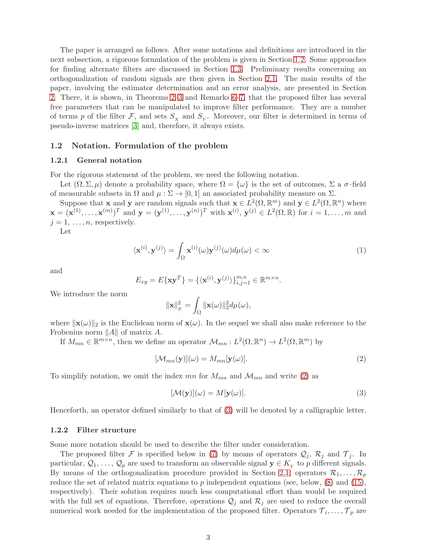The paper is arranged as follows. After some notations and definitions are introduced in the next subsection, a rigorous formulation of the problem is given in Section [1.2.](#page-2-0) Some approaches for finding alternate filters are discussed in Section [1.3.](#page-4-0) Preliminary results concerning an orthogonalization of random signals are then given in Section [2.1.](#page-4-1) The main results of the paper, involving the estimator determination and an error analysis, are presented in Section [2.](#page-4-2) There, it is shown, in Theorems [2–](#page-7-0)[3](#page-7-1) and Remarks [6–](#page-9-0)[7,](#page-9-1) that the proposed filter has several free parameters that can be manipulated to improve filter performance. They are a number of terms p of the filter  $\mathcal{F}$ , and sets  $S_x$  and  $S_y$ . Moreover, our filter is determined in terms of pseudo-inverse matrices [\[3\]](#page-16-4) and, therefore, it always exists.

### <span id="page-2-0"></span>1.2 Notation. Formulation of the problem

#### 1.2.1 General notation

For the rigorous statement of the problem, we need the following notation.

Let  $(\Omega, \Sigma, \mu)$  denote a probability space, where  $\Omega = {\omega}$  is the set of outcomes,  $\Sigma$  a  $\sigma$ -field of measurable subsets in  $\Omega$  and  $\mu : \Sigma \to [0,1]$  an associated probability measure on  $\Sigma$ .

Suppose that **x** and **y** are random signals such that  $\mathbf{x} \in L^2(\Omega, \mathbb{R}^m)$  and  $\mathbf{y} \in L^2(\Omega, \mathbb{R}^n)$  where  $\mathbf{x} = (\mathbf{x}^{(1)}, \dots, \mathbf{x}^{(m)})^T$  and  $\mathbf{y} = (\mathbf{y}^{(1)}, \dots, \mathbf{y}^{(n)})^T$  with  $\mathbf{x}^{(i)}$ ,  $\mathbf{y}^{(j)} \in L^2(\Omega, \mathbb{R})$  for  $i = 1, \dots, m$  and  $j = 1, \ldots, n$ , respectively.

Let

<span id="page-2-3"></span>
$$
\langle \mathbf{x}^{(i)}, \mathbf{y}^{(j)} \rangle = \int_{\Omega} \mathbf{x}^{(i)}(\omega) \mathbf{y}^{(j)}(\omega) d\mu(\omega) < \infty \tag{1}
$$

and

$$
E_{xy} = E\{\mathbf{x}\mathbf{y}^T\} = \{\langle \mathbf{x}^{(i)}, \mathbf{y}^{(j)} \rangle\}_{i,j=1}^{m,n} \in \mathbb{R}^{m \times n}.
$$

We introduce the norm

$$
\|\mathbf{x}\|_E^2 = \int_{\Omega} \|\mathbf{x}(\omega)\|_2^2 d\mu(\omega),
$$

where  $\|\mathbf{x}(\omega)\|_2$  is the Euclidean norm of  $\mathbf{x}(\omega)$ . In the sequel we shall also make reference to the Frobenius norm  $||A||$  of matrix A.

If  $M_{mn} \in \mathbb{R}^{m \times n}$ , then we define an operator  $\mathcal{M}_{mn}: L^2(\Omega, \mathbb{R}^n) \to L^2(\Omega, \mathbb{R}^m)$  by

<span id="page-2-1"></span>
$$
[\mathcal{M}_{mn}(\mathbf{y})](\omega) = M_{mn}[\mathbf{y}(\omega)].
$$
\n(2)

To simplify notation, we omit the index mn for  $M_{mn}$  and  $M_{mn}$  and write [\(2\)](#page-2-1) as

<span id="page-2-2"></span>
$$
[\mathcal{M}(\mathbf{y})](\omega) = M[\mathbf{y}(\omega)].
$$
\n(3)

Henceforth, an operator defined similarly to that of [\(3\)](#page-2-2) will be denoted by a calligraphic letter.

#### 1.2.2 Filter structure

Some more notation should be used to describe the filter under consideration.

The proposed filter F is specified below in [\(7\)](#page-3-1) by means of operators  $\mathcal{Q}_j$ ,  $\mathcal{R}_j$  and  $\mathcal{T}_j$ . In particular,  $Q_1, \ldots, Q_p$  are used to transform an observable signal  $y \in K_Y$  to p different signals. By means of the orthogonalization procedure provided in Section [2.1,](#page-4-1) operators  $\mathcal{R}_1, \ldots, \mathcal{R}_p$ reduce the set of related matrix equations to  $p$  independent equations (see, below,  $(8)$  and  $(15)$ , respectively). Their solution requires much less computational effort than would be required with the full set of equations. Therefore, operations  $\mathcal{Q}_j$  and  $\mathcal{R}_j$  are used to reduce the overall numerical work needed for the implementation of the proposed filter. Operators  $\mathcal{T}_i, \ldots, \mathcal{T}_p$  are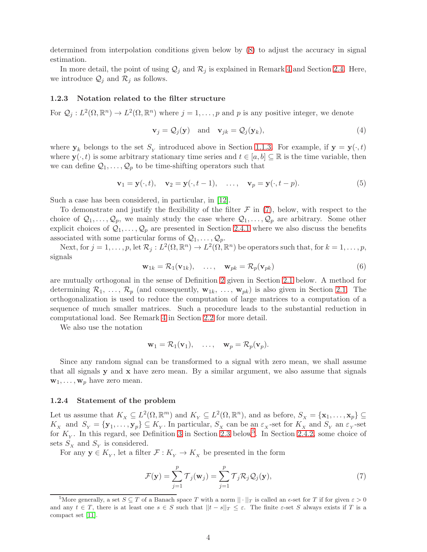determined from interpolation conditions given below by [\(8\)](#page-4-3) to adjust the accuracy in signal estimation.

In more detail, the point of using  $\mathcal{Q}_j$  and  $\mathcal{R}_j$  is explained in Remark [4](#page-6-3) and Section [2.4.](#page-10-1) Here, we introduce  $\mathcal{Q}_j$  and  $\mathcal{R}_j$  as follows.

### 1.2.3 Notation related to the filter structure

For  $\mathcal{Q}_j: L^2(\Omega, \mathbb{R}^n) \to L^2(\Omega, \mathbb{R}^n)$  where  $j = 1, \ldots, p$  and p is any positive integer, we denote

<span id="page-3-3"></span>
$$
\mathbf{v}_j = \mathcal{Q}_j(\mathbf{y}) \quad \text{and} \quad \mathbf{v}_{jk} = \mathcal{Q}_j(\mathbf{y}_k), \tag{4}
$$

where  $y_k$  belongs to the set  $S_Y$  introduced above in Section [1.1.3.](#page-1-2) For example, if  $y = y(\cdot, t)$ where  $\mathbf{y}(\cdot, t)$  is some arbitrary stationary time series and  $t \in [a, b] \subseteq \mathbb{R}$  is the time variable, then we can define  $\mathcal{Q}_1, \ldots, \mathcal{Q}_p$  to be time-shifting operators such that

$$
\mathbf{v}_1 = \mathbf{y}(\cdot, t), \quad \mathbf{v}_2 = \mathbf{y}(\cdot, t - 1), \quad \dots, \quad \mathbf{v}_p = \mathbf{y}(\cdot, t - p). \tag{5}
$$

Such a case has been considered, in particular, in [\[12\]](#page-17-6).

To demonstrate and justify the flexibility of the filter  $\mathcal F$  in [\(7\)](#page-3-1), below, with respect to the choice of  $\mathcal{Q}_1, \ldots, \mathcal{Q}_p$ , we mainly study the case where  $\mathcal{Q}_1, \ldots, \mathcal{Q}_p$  are arbitrary. Some other explicit choices of  $\mathcal{Q}_1, \ldots, \mathcal{Q}_p$  are presented in Section [2.4.1](#page-10-0) where we also discuss the benefits associated with some particular forms of  $Q_1, \ldots, Q_p$ .

Next, for  $j = 1, \ldots, p$ , let  $\mathcal{R}_j : L^2(\Omega, \mathbb{R}^n) \to L^2(\Omega, \mathbb{R}^n)$  be operators such that, for  $k = 1, \ldots, p$ , signals

$$
\mathbf{w}_{1k} = \mathcal{R}_1(\mathbf{v}_{1k}), \quad \dots, \quad \mathbf{w}_{pk} = \mathcal{R}_p(\mathbf{v}_{pk}) \tag{6}
$$

are mutually orthogonal in the sense of Definition [2](#page-4-4) given in Section [2.1](#page-4-1) below. A method for determining  $\mathcal{R}_1, \ldots, \mathcal{R}_p$  (and consequently,  $\mathbf{w}_{1k}, \ldots, \mathbf{w}_{pk}$ ) is also given in Section [2.1.](#page-4-1) The orthogonalization is used to reduce the computation of large matrices to a computation of a sequence of much smaller matrices. Such a procedure leads to the substantial reduction in computational load. See Remark [4](#page-6-3) in Section [2.2](#page-6-4) for more detail.

We also use the notation

$$
\mathbf{w}_1 = \mathcal{R}_1(\mathbf{v}_1), \quad \ldots, \quad \mathbf{w}_p = \mathcal{R}_p(\mathbf{v}_p).
$$

Since any random signal can be transformed to a signal with zero mean, we shall assume that all signals  $y$  and  $x$  have zero mean. By a similar argument, we also assume that signals  $\mathbf{w}_1, \ldots, \mathbf{w}_p$  have zero mean.

#### <span id="page-3-0"></span>1.2.4 Statement of the problem

Let us assume that  $K_x \subseteq L^2(\Omega, \mathbb{R}^m)$  and  $K_y \subseteq L^2(\Omega, \mathbb{R}^n)$ , and as before,  $S_x = {\mathbf{x}_1, \dots, \mathbf{x}_p} \subseteq$  $K_X$  and  $S_Y = {\bf{y}_1, \ldots, \bf{y}_p} \subseteq K_Y$ . In particular,  $S_X$  can be an  $\varepsilon_X$ -set for  $K_X$  and  $S_Y$  an  $\varepsilon_Y$ -set for  $K_Y$ . In this regard, see Definition [3](#page-6-5) in Section [2.3](#page-6-1) below<sup>[5](#page-3-2)</sup>. In Section [2.4.2,](#page-11-0) some choice of sets  $S_X$  and  $S_Y$  is considered.

For any  $y \in K_Y$ , let a filter  $\mathcal{F}: K_Y \to K_X$  be presented in the form

<span id="page-3-1"></span>
$$
\mathcal{F}(\mathbf{y}) = \sum_{j=1}^{p} \mathcal{T}_j(\mathbf{w}_j) = \sum_{j=1}^{p} \mathcal{T}_j \mathcal{R}_j \mathcal{Q}_j(\mathbf{y}),
$$
\n(7)

<span id="page-3-2"></span><sup>&</sup>lt;sup>5</sup>More generally, a set  $S \subseteq T$  of a Banach space T with a norm  $\|\cdot\|_T$  is called an  $\epsilon$ -set for T if for given  $\epsilon > 0$ and any  $t \in T$ , there is at least one  $s \in S$  such that  $||t - s||_T \leq \varepsilon$ . The finite  $\varepsilon$ -set S always exists if T is a compact set [\[11\]](#page-17-7).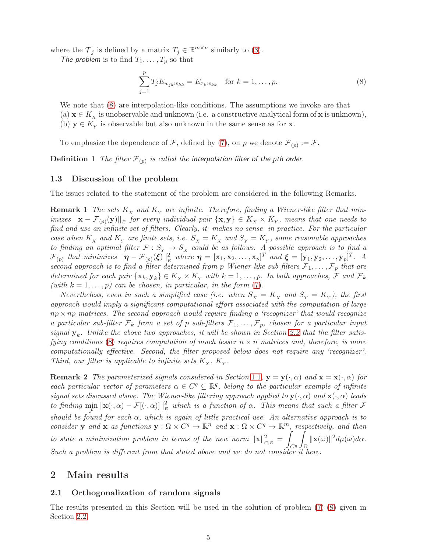where the  $\mathcal{T}_j$  is defined by a matrix  $T_j \in \mathbb{R}^{m \times n}$  similarly to [\(3\)](#page-2-2).

The problem is to find  $T_1, \ldots, T_p$  so that

<span id="page-4-3"></span>
$$
\sum_{j=1}^{p} T_j E_{w_{jk}w_{kk}} = E_{x_k w_{kk}} \quad \text{for } k = 1, \dots, p.
$$
 (8)

We note that  $(8)$  are interpolation-like conditions. The assumptions we invoke are that (a)  $\mathbf{x} \in K_{\mathbf{x}}$  is unobservable and unknown (i.e. a constructive analytical form of  $\mathbf{x}$  is unknown), (b)  $y \in K_Y$  is observable but also unknown in the same sense as for **x**.

To emphasize the dependence of F, defined by [\(7\)](#page-3-1), on p we denote  $\mathcal{F}_{(p)} := \mathcal{F}$ .

 $\mathbf D$ efinition  $1$   $\mathit The\ filter\ \mathcal F_{(p)}$  is called the interpolation filter of the  $p$ th order.

## <span id="page-4-0"></span>1.3 Discussion of the problem

The issues related to the statement of the problem are considered in the following Remarks.

**Remark 1** The sets  $K_x$  and  $K_y$  are infinite. Therefore, finding a Wiener-like filter that minimizes  $||\mathbf{x} - \mathcal{F}_{(p)}(\mathbf{y})||_E$  for every individual pair  $\{\mathbf{x}, \mathbf{y}\} \in K_{\chi} \times K_{\gamma}$ , means that one needs to find and use an infinite set of filters. Clearly, it makes no sense in practice. For the particular case when  $K_x$  and  $K_y$  are finite sets, i.e.  $S_x = K_x$  and  $S_y = K_y$ , some reasonable approaches to finding an optimal filter  $\mathcal{F}: S_Y \to S_X$  could be as follows. A possible approach is to find a  $\mathcal{F}_{(p)}$  that minimizes  $||\boldsymbol{\eta} - \mathcal{F}_{(p)}(\boldsymbol{\xi})||_E^2$  where  $\boldsymbol{\eta} = [\mathbf{x}_1, \mathbf{x}_2, \dots, \mathbf{x}_p]^T$  and  $\boldsymbol{\xi} = [\mathbf{y}_1, \mathbf{y}_2, \dots, \mathbf{y}_p]^T$ . A second approach is to find a filter determined from p Wiener-like sub-filters  $\mathcal{F}_1, \ldots, \mathcal{F}_p$  that are determined for each pair  $\{x_k, y_k\} \in K_X \times K_Y$  with  $k = 1, \ldots, p$ . In both approaches, F and  $\mathcal{F}_k$ (with  $k = 1, \ldots, p$ ) can be chosen, in particular, in the form [\(7\)](#page-3-1).

Nevertheless, even in such a simplified case (i.e. when  $S_x = K_x$  and  $S_y = K_y$ ), the first approach would imply a significant computational effort associated with the computation of large  $np \times np$  matrices. The second approach would require finding a 'recognizer' that would recognize a particular sub-filter  $\mathcal{F}_k$  from a set of p sub-filters  $\mathcal{F}_1, \ldots, \mathcal{F}_p$ , chosen for a particular input signal  $y_k$ . Unlike the above two approaches, it will be shown in Section [2.2](#page-6-4) that the filter satis-fying conditions [\(8\)](#page-4-3) requires computation of much lesser  $n \times n$  matrices and, therefore, is more computationally effective. Second, the filter proposed below does not require any 'recognizer'. Third, our filter is applicable to infinite sets  $K_{\mathbf{x}}, K_{\mathbf{y}}$ .

**Remark 2** The parameterized signals considered in Section [1](#page-0-2).1,  $y = y(\cdot, \alpha)$  and  $x = x(\cdot, \alpha)$  for each particular vector of parameters  $\alpha \in C^q \subseteq \mathbb{R}^q$ , belong to the particular example of infinite signal sets discussed above. The Wiener-like filtering approach applied to  $\mathbf{y}(\cdot,\alpha)$  and  $\mathbf{x}(\cdot,\alpha)$  leads to finding  $\min_{\mathcal{F}} ||\mathbf{x}(\cdot,\alpha) - \mathcal{F}[(\cdot,\alpha)]||_E^2$  which is a function of  $\alpha$ . This means that such a filter  $\mathcal F$ should be found for each  $\alpha$ , which is again of little practical use. An alternative approach is to consider y and x as functions  $y : \Omega \times C^q \to \mathbb{R}^n$  and  $x : \Omega \times C^q \to \mathbb{R}^m$ , respectively, and then to state a minimization problem in terms of the new norm  $\|\mathbf{x}\|_{C,E}^2 =$ z  $C<sup>q</sup>$ Z Ω  $\|\mathbf{x}(\omega)\|^2 d\mu(\omega) d\alpha.$ Such a problem is different from that stated above and we do not consider it here.

# <span id="page-4-2"></span><span id="page-4-1"></span>2 Main results

# 2.1 Orthogonalization of random signals

<span id="page-4-4"></span>The results presented in this Section will be used in the solution of problem [\(7\)](#page-3-1)-[\(8\)](#page-4-3) given in Section [2.2.](#page-6-4)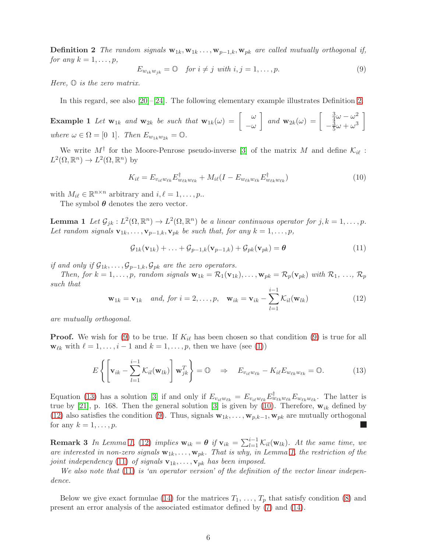**Definition 2** The random signals  $\mathbf{w}_{1k}, \mathbf{w}_{1k}, \ldots, \mathbf{w}_{p-1,k}, \mathbf{w}_{pk}$  are called mutually orthogonal if, for any  $k = 1, \ldots, p$ ,

<span id="page-5-0"></span>
$$
E_{w_{ik}w_{jk}} = 0 \quad \text{for } i \neq j \text{ with } i, j = 1, \dots, p. \tag{9}
$$

Here,  $\mathbb{O}$  is the zero matrix.

In this regard, see also [\[20\]](#page-17-8)–[\[24\]](#page-17-9). The following elementary example illustrates Definition [2.](#page-4-4)

**Example 1** Let  $\mathbf{w}_{1k}$  and  $\mathbf{w}_{2k}$  be such that  $\mathbf{w}_{1k}(\omega) = \begin{bmatrix} \omega & \omega \\ \omega & \omega \end{bmatrix}$  $-\omega$ and  $\mathbf{w}_{2k}(\omega) = \begin{bmatrix} \frac{3}{4} \\ 3 \end{bmatrix}$  $rac{3}{4}\omega - \omega^2$  $-\frac{3}{5}\omega+\omega^3$ 1 where  $\omega \in \Omega = [0 \ 1]$ . Then  $E_{w_{1k}w_{2k}} = \mathbb{O}$ .

We write  $M^{\dagger}$  for the Moore-Penrose pseudo-inverse [\[3\]](#page-16-4) of the matrix M and define  $\mathcal{K}_{i\ell}$ :  $L^2(\Omega,\mathbb{R}^n)\to L^2(\Omega,\mathbb{R}^n)$  by

<span id="page-5-2"></span>
$$
K_{i\ell} = E_{v_{i\ell}w_{\ell k}} E_{w_{\ell k}w_{\ell k}}^{\dagger} + M_{i\ell} (I - E_{w_{\ell k}w_{\ell k}} E_{w_{\ell k}w_{\ell k}}^{\dagger}) \tag{10}
$$

with  $M_{i\ell} \in \mathbb{R}^{n \times n}$  arbitrary and  $i, \ell = 1, \ldots, p$ .

<span id="page-5-4"></span>The symbol  $\theta$  denotes the zero vector.

**Lemma 1** Let  $\mathcal{G}_{jk}: L^2(\Omega, \mathbb{R}^n) \to L^2(\Omega, \mathbb{R}^n)$  be a linear continuous operator for  $j, k = 1, \ldots, p$ . Let random signals  $\mathbf{v}_{1k}, \ldots, \mathbf{v}_{p-1,k}, \mathbf{v}_{pk}$  be such that, for any  $k = 1, \ldots, p$ ,

<span id="page-5-5"></span>
$$
\mathcal{G}_{1k}(\mathbf{v}_{1k}) + \ldots + \mathcal{G}_{p-1,k}(\mathbf{v}_{p-1,k}) + \mathcal{G}_{pk}(\mathbf{v}_{pk}) = \boldsymbol{\theta}
$$
\n(11)

if and only if  $\mathcal{G}_{1k}, \ldots, \mathcal{G}_{p-1,k}, \mathcal{G}_{pk}$  are the zero operators.

Then, for  $k = 1, \ldots, p$ , random signals  $\mathbf{w}_{1k} = \mathcal{R}_1(\mathbf{v}_{1k}), \ldots, \mathbf{w}_{pk} = \mathcal{R}_p(\mathbf{v}_{pk})$  with  $\mathcal{R}_1, \ldots, \mathcal{R}_p$ such that

<span id="page-5-3"></span>
$$
\mathbf{w}_{1k} = \mathbf{v}_{1k} \quad \text{and, for } i = 2, \dots, p, \quad \mathbf{w}_{ik} = \mathbf{v}_{ik} - \sum_{l=1}^{i-1} \mathcal{K}_{il}(\mathbf{w}_{lk}) \tag{12}
$$

are mutually orthogonal.

**Proof.** We wish for [\(9\)](#page-5-0) to be true. If  $K_{i\ell}$  has been chosen so that condition (9) is true for all  $\mathbf{w}_{\ell k}$  with  $\ell = 1, \ldots, i-1$  and  $k = 1, \ldots, p$ , then we have (see [\(1\)](#page-2-3))

<span id="page-5-1"></span>
$$
E\left\{ \left[ \mathbf{v}_{ik} - \sum_{l=1}^{i-1} \mathcal{K}_{il}(\mathbf{w}_{lk}) \right] \mathbf{w}_{jk}^T \right\} = \mathbb{O} \quad \Rightarrow \quad E_{v_{i\ell}w_{\ell k}} - K_{i\ell} E_{w_{\ell k}w_{\ell k}} = \mathbb{O}. \tag{13}
$$

Equation [\(13\)](#page-5-1) has a solution [\[3\]](#page-16-4) if and only if  $E_{v_{i\ell}w_{\ell k}} = E_{v_{i\ell}w_{\ell k}} E_{w_{\ell k}w_{\ell k}}^{\dagger} E_{w_{\ell k}w_{\ell k}}$ . The latter is true by [\[21\]](#page-17-0), p. 168. Then the general solution [\[3\]](#page-16-4) is given by [\(10\)](#page-5-2). Therefore,  $w_{ik}$  defined by [\(12\)](#page-5-3) also satisfies the condition [\(9\)](#page-5-0). Thus, signals  $\mathbf{w}_{1k}, \ldots, \mathbf{w}_{p,k-1}, \mathbf{w}_{pk}$  are mutually orthogonal for any  $k = 1, \ldots, p$ . L.

**Remark 3** In Lemma [1,](#page-5-4) [\(12\)](#page-5-3) implies  $\mathbf{w}_{ik} = \boldsymbol{\theta}$  if  $\mathbf{v}_{ik} = \sum_{l=1}^{i-1} \mathcal{K}_{il}(\mathbf{w}_{lk})$ . At the same time, we are interested in non-zero signals  $\mathbf{w}_{1k}, \ldots, \mathbf{w}_{pk}$ . That is why, in Lemma [1,](#page-5-4) the restriction of the joint independency [\(11\)](#page-5-5) of signals  $\mathbf{v}_{1k}, \ldots, \mathbf{v}_{pk}$  has been imposed.

We also note that  $(11)$  is 'an operator version' of the definition of the vector linear independence.

Below we give exact formulae [\(14\)](#page-6-6) for the matrices  $T_1, \ldots, T_p$  that satisfy condition [\(8\)](#page-4-3) and present an error analysis of the associated estimator defined by [\(7\)](#page-3-1) and [\(14\)](#page-6-6).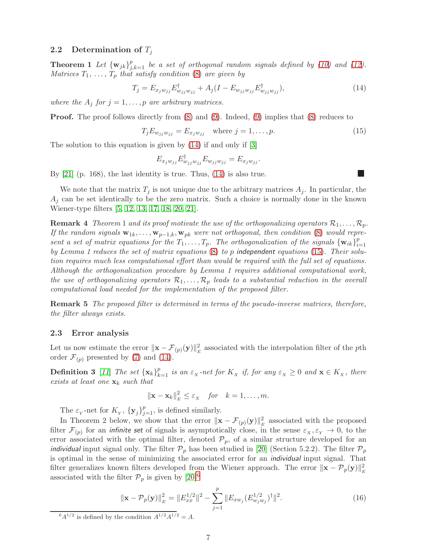### <span id="page-6-9"></span><span id="page-6-4"></span>2.2 Determination of  $T_i$

**Theorem 1** Let  $\{w_{jk}\}_{j,k=1}^p$  be a set of orthogonal random signals defined by [\(10\)](#page-5-2) and [\(12\)](#page-5-3). Matrices  $T_1, \ldots, T_p$  that satisfy condition [\(8\)](#page-4-3) are given by

<span id="page-6-6"></span>
$$
T_j = E_{x_j w_{jj}} E_{w_{jj} w_{jj}}^{\dagger} + A_j (I - E_{w_{jj} w_{jj}} E_{w_{jj} w_{jj}}^{\dagger}), \qquad (14)
$$

where the  $A_j$  for  $j = 1, \ldots, p$  are arbitrary matrices.

**Proof.** The proof follows directly from  $(8)$  and  $(9)$ . Indeed,  $(9)$  implies that  $(8)$  reduces to

<span id="page-6-2"></span>
$$
T_j E_{w_{jj}w_{jj}} = E_{x_j w_{jj}} \quad \text{where } j = 1, \dots, p. \tag{15}
$$

The solution to this equation is given by [\(14\)](#page-6-6) if and only if [\[3\]](#page-16-4)

$$
E_{x_j w_{jj}} E_{w_{jj} w_{jj}}^{\dagger} E_{w_{jj} w_{jj}} = E_{x_j w_{jj}}.
$$

By [\[21\]](#page-17-0) (p. 168), the last identity is true. Thus, [\(14\)](#page-6-6) is also true.

We note that the matrix  $T_i$  is not unique due to the arbitrary matrices  $A_i$ . In particular, the  $A_i$  can be set identically to be the zero matrix. Such a choice is normally done in the known Wiener-type filters [\[5,](#page-16-5) [12,](#page-17-6) [13,](#page-17-10) [17,](#page-17-11) [18,](#page-17-12) [20,](#page-17-8) [21\]](#page-17-0).

<span id="page-6-3"></span>**Remark 4** Theorem 1 and its proof motivate the use of the orthogonalizing operators  $\mathcal{R}_1, \ldots, \mathcal{R}_p$ . If the random signals  $\mathbf{w}_{1k}, \ldots, \mathbf{w}_{p-1,k}, \mathbf{w}_{pk}$  were not orthogonal, then condition [\(8\)](#page-4-3) would represent a set of matrix equations for the  $T_1, \ldots, T_p$ . The orthogonalization of the signals  $\{\mathbf{w}_{ik}\}_{i=1}^p$  $i=1$ by Lemma 1 reduces the set of matrix equations  $(8)$  to p independent equations  $(15)$ . Their solution requires much less computational effort than would be required with the full set of equations. Although the orthogonalization procedure by Lemma 1 requires additional computational work, the use of orthogonalizing operators  $\mathcal{R}_1, \ldots, \mathcal{R}_p$  leads to a substantial reduction in the overall computational load needed for the implementation of the proposed filter.

<span id="page-6-0"></span>Remark 5 The proposed filter is determined in terms of the pseudo-inverse matrices, therefore, the filter always exists.

## <span id="page-6-1"></span>2.3 Error analysis

<span id="page-6-5"></span>Let us now estimate the error  $\|\mathbf{x} - \mathcal{F}_{(p)}(\mathbf{y})\|_{E}^{2}$  associated with the interpolation filter of the pth order  $\mathcal{F}_{(p)}$  presented by [\(7\)](#page-3-1) and [\(14\)](#page-6-6).

**Definition 3** [[11](#page-17-7)] The set  $\{x_k\}_{k=1}^p$  is an  $\varepsilon_X$ -net for  $K_X$  if, for any  $\varepsilon_X \geq 0$  and  $\mathbf{x} \in K_X$ , there exists at least one  $\mathbf{x}_k$  such that

$$
\|\mathbf{x}-\mathbf{x}_k\|_E^2 \leq \varepsilon_x \quad \text{for} \quad k=1,\ldots,m.
$$

The  $\varepsilon_Y$ -net for  $K_Y$ ,  $\{y_j\}_{j=1}^p$ , is defined similarly.

In Theorem 2 below, we show that the error  $\|\mathbf{x} - \mathcal{F}_{(p)}(\mathbf{y})\|_{E}^{2}$  associated with the proposed filter  $\mathcal{F}_{(p)}$  for an *infinite set* of signals is asymptotically close, in the sense  $\varepsilon_X, \varepsilon_Y \to 0$ , to the error associated with the optimal filter, denoted  $\mathcal{P}_p$ , of a similar structure developed for an *individual* input signal only. The filter  $\mathcal{P}_p$  has been studied in [\[20\]](#page-17-8) (Section 5.2.2). The filter  $\mathcal{P}_p$ is optimal in the sense of minimizing the associated error for an individual input signal. That filter generalizes known filters developed from the Wiener approach. The error  $\|\mathbf{x} - \mathcal{P}_p(\mathbf{y})\|_E^2$ associated with the filter  $\mathcal{P}_p$  is given by  $[20]^6$  $[20]^6$ 

<span id="page-6-8"></span>
$$
\|\mathbf{x} - \mathcal{P}_p(\mathbf{y})\|_E^2 = \|E_{xx}^{1/2}\|^2 - \sum_{j=1}^p \|E_{xw_j}(E_{w_jw_j}^{1/2})^\dagger\|^2.
$$
 (16)

<span id="page-6-7"></span> $^{6}A^{1/2}$  is defined by the condition  $A^{1/2}A^{1/2} = A$ .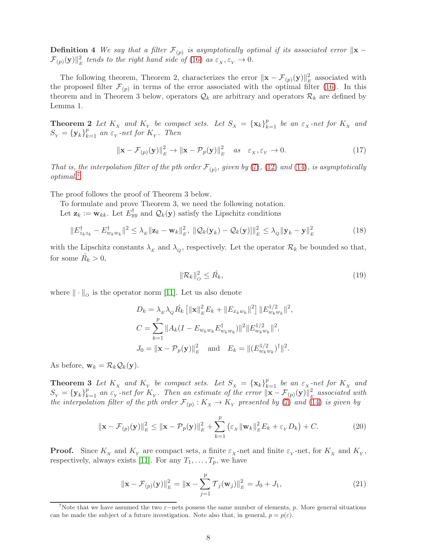**Definition** 4 We say that a filter  $\mathcal{F}_{(p)}$  is asymptotically optimal if its associated error  $\|\mathbf{x} - \mathbf{z}\|$  $\mathcal{F}_{(p)}(\mathbf{y})\|_E^2$  tends to the right hand side of [\(16\)](#page-6-8) as  $\varepsilon_x$ ,  $\varepsilon_y\to 0$ .

The following theorem, Theorem 2, characterizes the error  $\|\mathbf{x} - \mathcal{F}_{(p)}(\mathbf{y})\|_{E}^{2}$  associated with the proposed filter  $\mathcal{F}_{(p)}$  in terms of the error associated with the optimal filter [\(16\)](#page-6-8). In this theorem and in Theorem 3 below, operators  $\mathcal{Q}_k$  are arbitrary and operators  $\mathcal{R}_k$  are defined by Lemma 1.

<span id="page-7-0"></span>**Theorem 2** Let  $K_x$  and  $K_y$  be compact sets. Let  $S_x = {\mathbf{x}_k}_{k=1}^p$  be an  $\varepsilon_x$ -net for  $K_x$  and  $S_Y = {\bf y}_k_{k=1}^p$  an  $\varepsilon_Y$ -net for  $K_Y$ . Then

<span id="page-7-5"></span>
$$
\|\mathbf{x} - \mathcal{F}_{(p)}(\mathbf{y})\|_{E}^{2} \to \|\mathbf{x} - \mathcal{P}_{p}(\mathbf{y})\|_{E}^{2} \quad as \quad \varepsilon_{X}, \varepsilon_{Y} \to 0. \tag{17}
$$

That is, the interpolation filter of the pth order  $\mathcal{F}_{(p)}$ , given by [\(7\)](#page-3-1), [\(12\)](#page-5-3) and [\(14\)](#page-6-6), is asymptotically optimal.[7](#page-7-2)

The proof follows the proof of Theorem 3 below.

To formulate and prove Theorem 3, we need the following notation.

Let  $\mathbf{z}_k := \mathbf{w}_{kk}$ . Let  $E_{yy}^{\dagger}$  and  $\mathcal{Q}_k(\mathbf{y})$  satisfy the Lipschitz conditions

$$
\|E_{z_k z_k}^\dagger - E_{w_k w_k}^\dagger\|^2 \leq \lambda_E \|\mathbf{z}_k - \mathbf{w}_k\|_E^2, \ \|\mathcal{Q}_k(\mathbf{y}_k) - \mathcal{Q}_k(\mathbf{y})\|_E^2 \leq \lambda_Q \|\mathbf{y}_k - \mathbf{y}\|_E^2 \tag{18}
$$

with the Lipschitz constants  $\lambda_E$  and  $\lambda_Q$ , respectively. Let the operator  $\mathcal{R}_k$  be bounded so that, for some  $\hat{R_k} > 0$ ,

$$
\|\mathcal{R}_k\|_O^2 \le \hat{R_k},\tag{19}
$$

where  $\|\cdot\|_o$  is the operator norm [\[11\]](#page-17-7). Let us also denote

$$
D_k = \lambda_E \lambda_Q \hat{R}_k \left[ \|\mathbf{x}\|_E^2 E_k + \|E_{x_k w_k}\|^2 \right] \|E_{w_k w_k}^{1/2} \|^2,
$$
  
\n
$$
C = \sum_{k=1}^p \|A_k (I - E_{w_k w_k} E_{w_k w_k}^\dagger) \|^2 \|E_{w_k w_k}^{1/2} \|^2,
$$
  
\n
$$
J_0 = \|\mathbf{x} - \mathcal{P}_p(\mathbf{y})\|_E^2 \quad \text{and} \quad E_k = \|(E_{w_k w_k}^{1/2})^\dagger \|^2.
$$

<span id="page-7-1"></span>As before,  $\mathbf{w}_k = \mathcal{R}_k \mathcal{Q}_k(\mathbf{y}).$ 

**Theorem 3** Let  $K_x$  and  $K_y$  be compact sets. Let  $S_x = {\mathbf{x}_k}_{k=1}^p$  be an  $\varepsilon_{x}$ -net for  $K_x$  and  $S_Y = {\bf y}_k\}_{k=1}^p$  an  $\varepsilon_Y$ -net for  $K_Y$ . Then an estimate of the error  $\|\mathbf{x} - \mathcal{F}_{(p)}(\mathbf{y})\|_E^2$  associated with the interpolation filter of the pth order  $\mathcal{F}_{(p)}: K_{\overline{X}} \to K_{\overline{Y}}$  presented by [\(7\)](#page-3-1) and [\(14\)](#page-6-6) is given by

<span id="page-7-4"></span>
$$
\|\mathbf{x} - \mathcal{F}_{(p)}(\mathbf{y})\|_{E}^{2} \le \|\mathbf{x} - \mathcal{P}_{p}(\mathbf{y})\|_{E}^{2} + \sum_{k=1}^{p} \left(\varepsilon_{X} \|\mathbf{w}_{k}\|_{E}^{2} E_{k} + \varepsilon_{Y} D_{k}\right) + C.
$$
 (20)

**Proof.** Since  $K_X$  and  $K_Y$  are compact sets, a finite  $\varepsilon_X$ -net and finite  $\varepsilon_Y$ -net, for  $K_X$  and  $K_Y$ , respectively, always exists [\[11\]](#page-17-7). For any  $T_1, \ldots, T_p$ , we have

<span id="page-7-3"></span>
$$
\|\mathbf{x} - \mathcal{F}_{(p)}(\mathbf{y})\|_{E}^{2} = \|\mathbf{x} - \sum_{j=1}^{p} \mathcal{T}_{j}(\mathbf{w}_{j})\|_{E}^{2} = J_{0} + J_{1},
$$
\n(21)

<span id="page-7-2"></span>To The that we have assumed the two  $\varepsilon$ −nets possess the same number of elements, p. More general situations can be made the subject of a future investigation. Note also that, in general,  $p = p(\varepsilon)$ .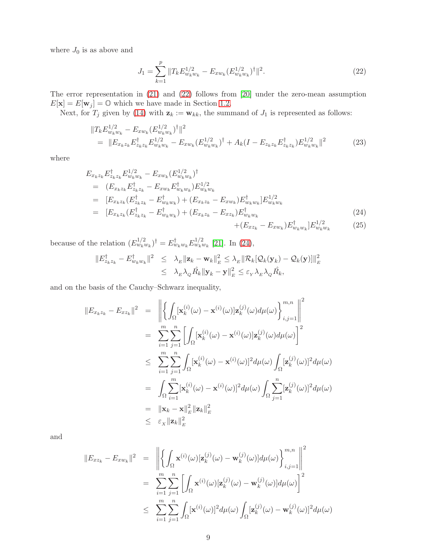where  $J_0$  is as above and

<span id="page-8-0"></span>
$$
J_1 = \sum_{k=1}^p \|T_k E_{w_k w_k}^{1/2} - E_{x w_k} (E_{w_k w_k}^{1/2})^\dagger \|^2.
$$
 (22)

The error representation in [\(21\)](#page-7-3) and [\(22\)](#page-8-0) follows from [\[20\]](#page-17-8) under the zero-mean assumption  $E[\mathbf{x}] = E[\mathbf{w}_j] = \mathbb{O}$  which we have made in Section [1.2.](#page-2-0)

Next, for  $T_j$  given by [\(14\)](#page-6-6) with  $\mathbf{z}_k := \mathbf{w}_{kk}$ , the summand of  $J_1$  is represented as follows:

<span id="page-8-2"></span>
$$
||T_{k}E_{w_{k}w_{k}}^{1/2} - E_{xw_{k}}(E_{w_{k}w_{k}}^{1/2})^{\dagger}||^{2}
$$
  
= 
$$
||E_{x_{k}z_{k}}E_{z_{k}z_{k}}^{\dagger}E_{w_{k}w_{k}}^{1/2} - E_{xw_{k}}(E_{w_{k}w_{k}}^{1/2})^{\dagger} + A_{k}(I - E_{z_{k}z_{k}}E_{z_{k}z_{k}}^{\dagger})E_{w_{k}w_{k}}^{1/2}||^{2}
$$
(23)

where

<span id="page-8-1"></span>
$$
E_{x_k z_k} E_{z_k z_k}^{\dagger} E_{w_k w_k}^{1/2} - E_{x w_k} (E_{w_k w_k}^{1/2})^{\dagger}
$$
  
\n
$$
= (E_{x_k z_k} E_{z_k z_k}^{\dagger} - E_{x w_k} E_{w_k w_k}^{\dagger}) E_{w_k w_k}^{1/2}
$$
  
\n
$$
= [E_{x_k z_k} (E_{z_k z_k}^{\dagger} - E_{w_k w_k}) + (E_{x_k z_k} - E_{x w_k}) E_{w_k w_k}^{\dagger}] E_{w_k w_k}^{1/2}
$$
  
\n
$$
= [E_{x_k z_k} (E_{z_k z_k}^{\dagger} - E_{w_k w_k}) + (E_{x_k z_k} - E_{x z_k}) E_{w_k w_k}^{\dagger}] E_{w_k w_k}^{1/2} + (E_{x z_k} - E_{x w_k}) E_{w_k w_k}^{\dagger}] E_{w_k w_k}^{1/2}
$$
\n(25)

because of the relation  $(E_{w_k w_k}^{1/2})^{\dagger} = E_{w_k w_k}^{\dagger} E_{w_k w_k}^{1/2}$  [\[21\]](#page-17-0). In [\(24\)](#page-8-1),

$$
||E_{z_k z_k}^{\dagger} - E_{w_k w_k}^{\dagger}||^2 \leq \lambda_E ||\mathbf{z}_k - \mathbf{w}_k||_E^2 \leq \lambda_E ||\mathcal{R}_k[\mathcal{Q}_k(\mathbf{y}_k) - \mathcal{Q}_k(\mathbf{y})]||_E^2
$$
  

$$
\leq \lambda_E \lambda_Q \hat{R}_k ||\mathbf{y}_k - \mathbf{y}||_E^2 \leq \varepsilon_Y \lambda_E \lambda_Q \hat{R}_k,
$$

and on the basis of the Cauchy–Schwarz inequality,

$$
||E_{x_k z_k} - E_{x z_k}||^2 = \left\| \left\{ \int_{\Omega} [\mathbf{x}_k^{(i)}(\omega) - \mathbf{x}^{(i)}(\omega)] \mathbf{z}_k^{(j)}(\omega) d\mu(\omega) \right\}_{i,j=1}^{m,n} \right\|^{2}
$$
  
\n
$$
= \sum_{i=1}^m \sum_{j=1}^n \left[ \int_{\Omega} [\mathbf{x}_k^{(i)}(\omega) - \mathbf{x}^{(i)}(\omega)] \mathbf{z}_k^{(j)}(\omega) d\mu(\omega) \right]^2
$$
  
\n
$$
\leq \sum_{i=1}^m \sum_{j=1}^n \int_{\Omega} [\mathbf{x}_k^{(i)}(\omega) - \mathbf{x}^{(i)}(\omega)]^2 d\mu(\omega) \int_{\Omega} [\mathbf{z}_k^{(j)}(\omega)]^2 d\mu(\omega)
$$
  
\n
$$
= \int_{\Omega} \sum_{i=1}^m [\mathbf{x}_k^{(i)}(\omega) - \mathbf{x}^{(i)}(\omega)]^2 d\mu(\omega) \int_{\Omega} \sum_{j=1}^n [\mathbf{z}_k^{(j)}(\omega)]^2 d\mu(\omega)
$$
  
\n
$$
= ||\mathbf{x}_k - \mathbf{x}||_E^2 ||\mathbf{z}_k||_E^2
$$
  
\n
$$
\leq \varepsilon_x ||\mathbf{z}_k||_E^2
$$

and

$$
||E_{xz_k} - E_{xw_k}||^2 = \left\| \left\{ \int_{\Omega} \mathbf{x}^{(i)}(\omega) [\mathbf{z}_k^{(j)}(\omega) - \mathbf{w}_k^{(j)}(\omega)] d\mu(\omega) \right\}_{i,j=1}^{m,n} \right\|^{2}
$$
  

$$
= \sum_{i=1}^m \sum_{j=1}^n \left[ \int_{\Omega} \mathbf{x}^{(i)}(\omega) [\mathbf{z}_k^{(j)}(\omega) - \mathbf{w}_k^{(j)}(\omega)] d\mu(\omega) \right]^2
$$
  

$$
\leq \sum_{i=1}^m \sum_{j=1}^n \int_{\Omega} [\mathbf{x}^{(i)}(\omega)]^2 d\mu(\omega) \int_{\Omega} [\mathbf{z}_k^{(j)}(\omega) - \mathbf{w}_k^{(j)}(\omega)]^2 d\mu(\omega)
$$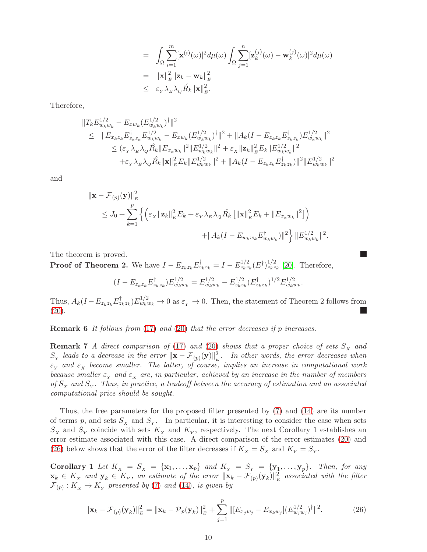$$
= \int_{\Omega} \sum_{i=1}^{m} [\mathbf{x}^{(i)}(\omega)]^2 d\mu(\omega) \int_{\Omega} \sum_{j=1}^{n} [\mathbf{z}_k^{(j)}(\omega) - \mathbf{w}_k^{(j)}(\omega)]^2 d\mu(\omega)
$$
  
\n
$$
= ||\mathbf{x}||_E^2 ||\mathbf{z}_k - \mathbf{w}_k||_E^2
$$
  
\n
$$
\leq \varepsilon_{\mathbf{y}} \lambda_{\mathbf{z}} \lambda_{\mathbf{z}} \hat{R}_k ||\mathbf{x}||_E^2.
$$

Therefore,

$$
||T_{k}E_{w_{k}w_{k}}^{1/2} - E_{xw_{k}}(E_{w_{k}w_{k}}^{1/2})^{\dagger}||^{2}
$$
  
\n
$$
\leq ||E_{x_{k}z_{k}}E_{z_{k}z_{k}}^{\dagger}E_{w_{k}w_{k}}^{1/2} - E_{xw_{k}}(E_{w_{k}w_{k}}^{1/2})^{\dagger}||^{2} + ||A_{k}(I - E_{z_{k}z_{k}}E_{z_{k}z_{k}}^{\dagger})E_{w_{k}w_{k}}^{1/2}||^{2}
$$
  
\n
$$
\leq (\varepsilon_{Y} \lambda_{E} \lambda_{Q} \hat{R_{k}} ||E_{x_{k}w_{k}}||^{2} ||E_{w_{k}w_{k}}^{1/2}||^{2} + \varepsilon_{X} ||\mathbf{z}_{k}||_{E}^{2} E_{k} ||E_{w_{k}w_{k}}^{1/2}||^{2}
$$
  
\n
$$
+ \varepsilon_{Y} \lambda_{E} \lambda_{Q} \hat{R_{k}} ||\mathbf{x}||_{E}^{2} E_{k} ||E_{w_{k}w_{k}}^{1/2}||^{2} + ||A_{k}(I - E_{z_{k}z_{k}}E_{z_{k}z_{k}}^{\dagger})||^{2} ||E_{w_{k}w_{k}}^{1/2}||^{2}
$$

and

$$
\|\mathbf{x} - \mathcal{F}_{(p)}(\mathbf{y})\|_{E}^{2}
$$
  
\n
$$
\leq J_{0} + \sum_{k=1}^{p} \left\{ \left( \varepsilon_{X} \|\mathbf{z}_{k}\|_{E}^{2} E_{k} + \varepsilon_{Y} \lambda_{E} \lambda_{Q} \hat{R}_{k} \left[ \|\mathbf{x}\|_{E}^{2} E_{k} + \|E_{x_{k} w_{k}}\|^{2} \right] \right) + \|A_{k} (I - E_{w_{k} w_{k}} E_{w_{k} w_{k}}^{\dagger})\|^{2} \right\} \|E_{w_{k} w_{k}}^{1/2} \|^{2}.
$$

The theorem is proved.

**Proof of Theorem 2.** We have  $I - E_{z_k z_k} E_{z_k z_k}^{\dagger} = I - E_{z_k z_k}^{1/2} (E^{\dagger})_{z_k z_k}^{1/2}$  [\[20\]](#page-17-8). Therefore,

$$
(I - E_{z_k z_k} E_{z_k z_k}^{\dagger}) E_{w_k w_k}^{1/2} = E_{w_k w_k}^{1/2} - E_{z_k z_k}^{1/2} (E_{z_k z_k}^{\dagger})^{1/2} E_{w_k w_k}^{1/2}.
$$

<span id="page-9-0"></span>Thus,  $A_k(I - E_{z_k z_k} E_{z_k z_k}^{\dagger}) E_{w_k w_k}^{1/2} \to 0$  as  $\varepsilon_Y \to 0$ . Then, the statement of Theorem 2 follows from  $(20).$  $(20).$ L.

<span id="page-9-1"></span>Remark 6 It follows from [\(17\)](#page-7-5) and [\(20\)](#page-7-4) that the error decreases if p increases.

**Remark 7** A direct comparison of [\(17\)](#page-7-5) and [\(20\)](#page-7-4) shows that a proper choice of sets  $S_x$  and  $S_Y$  leads to a decrease in the error  $\|\mathbf{x}-\mathcal{F}_{(p)}(\mathbf{y})\|_E^2$ . In other words, the error decreases when  $\varepsilon_{_{Y}}$  and  $\varepsilon_{_{X}}$  become smaller. The latter, of course, implies an increase in computational work because smaller  $\varepsilon_X$  and  $\varepsilon_X$  are, in particular, achieved by an increase in the number of members of  $S_X$  and  $S_Y$ . Thus, in practice, a tradeoff between the accuracy of estimation and an associated computational price should be sought.

Thus, the free parameters for the proposed filter presented by [\(7\)](#page-3-1) and [\(14\)](#page-6-6) are its number of terms p, and sets  $S_x$  and  $S_y$ . In particular, it is interesting to consider the case when sets  $S_X$  and  $S_Y$  coincide with sets  $K_X$  and  $K_Y$ , respectively. The next Corollary 1 establishes an error estimate associated with this case. A direct comparison of the error estimates [\(20\)](#page-7-4) and [\(26\)](#page-9-2) below shows that the error of the filter decreases if  $K_X = S_X$  and  $K_Y = S_Y$ .

Corollary 1 Let  $K_x = S_x = \{x_1, \ldots, x_p\}$  and  $K_y = S_y = \{y_1, \ldots, y_p\}$ . Then, for any  $\mathbf{x}_k \in K_\chi$  and  $\mathbf{y}_k \in K_\chi$ , an estimate of the error  $\|\mathbf{x}_k - \mathcal{F}_{(p)}(\mathbf{y}_k)\|_E^2$  associated with the filter  $\mathcal{F}_{(p)}: K_{_X} \to K_{_Y}$  presented by [\(7\)](#page-3-1) and [\(14\)](#page-6-6), is given by

<span id="page-9-2"></span>
$$
\|\mathbf{x}_{k} - \mathcal{F}_{(p)}(\mathbf{y}_{k})\|_{E}^{2} = \|\mathbf{x}_{k} - \mathcal{P}_{p}(\mathbf{y}_{k})\|_{E}^{2} + \sum_{j=1}^{p} \|[E_{x_{j}w_{j}} - E_{x_{k}w_{j}}](E_{w_{j}w_{j}}^{1/2})^{\dagger}\|^{2}.
$$
 (26)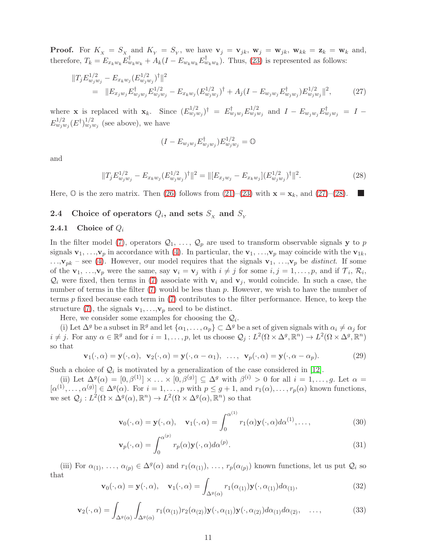**Proof.** For  $K_x = S_x$  and  $K_y = S_y$ , we have  $\mathbf{v}_j = \mathbf{v}_{jk}$ ,  $\mathbf{w}_j = \mathbf{w}_{jk}$ ,  $\mathbf{w}_{kk} = \mathbf{z}_k = \mathbf{w}_k$  and, therefore,  $T_k = E_{x_k w_k} E_{w_k w_k}^{\dagger} + A_k (I - E_{w_k w_k} E_{w_k w_k}^{\dagger})$ . Thus, [\(23\)](#page-8-2) is represented as follows:

<span id="page-10-2"></span>
$$
||T_j E_{w_j w_j}^{1/2} - E_{x_k w_j} (E_{w_j w_j}^{1/2})^\dagger||^2
$$
  
= 
$$
||E_{x_j w_j} E_{w_j w_j}^\dagger E_{w_j w_j}^{1/2} - E_{x_k w_j} (E_{w_j w_j}^{1/2})^\dagger + A_j (I - E_{w_j w_j} E_{w_j w_j}^\dagger) E_{w_j w_j}^{1/2}||^2,
$$
 (27)

where **x** is replaced with  $\mathbf{x}_k$ . Since  $(E_{w_jw_j}^{1/2})^{\dagger} = E_{w_jw_j}^{\dagger}E_{w_jw_j}^{1/2}$  and  $I - E_{w_jw_j}E_{w_jw_j}^{\dagger} = I E^{1/2}_{w_j w_j}(E^{\dagger})^{1/2}_{w_j w_j}$  (see above), we have

$$
(I - E_{w_j w_j} E_{w_j w_j}^\dagger) E_{w_j w_j}^{1/2} = \mathbb{O}
$$

and

<span id="page-10-3"></span>
$$
||T_j E_{w_j w_j}^{1/2} - E_{x_k w_j} (E_{w_j w_j}^{1/2})^\dagger||^2 = ||[E_{x_j w_j} - E_{x_k w_j}](E_{w_j w_j}^{1/2})^\dagger||^2.
$$
\n(28)

Here,  $\mathbb{O}$  is the zero matrix. Then [\(26\)](#page-9-2) follows from [\(21\)](#page-7-3)–[\(23\)](#page-8-2) with  $\mathbf{x} = \mathbf{x}_k$ , and [\(27\)](#page-10-2)–[\(28\)](#page-10-3).

# <span id="page-10-1"></span><span id="page-10-0"></span>2.4 Choice of operators  $Q_i$ , and sets  $S_x$  and  $S_y$

### 2.4.1 Choice of  $Q_i$

In the filter model [\(7\)](#page-3-1), operators  $\mathcal{Q}_1, \ldots, \mathcal{Q}_p$  are used to transform observable signals y to p signals  $\mathbf{v}_1, \ldots, \mathbf{v}_p$  in accordance with [\(4\)](#page-3-3). In particular, the  $\mathbf{v}_1, \ldots, \mathbf{v}_p$  may coincide with the  $\mathbf{v}_{1k}$ ,  $\ldots$ , $\mathbf{v}_{pk}$  – see [\(4\)](#page-3-3). However, our model requires that the signals  $\mathbf{v}_1, \ldots, \mathbf{v}_p$  be distinct. If some of the  $\mathbf{v}_1, \ldots, \mathbf{v}_p$  were the same, say  $\mathbf{v}_i = \mathbf{v}_j$  with  $i \neq j$  for some  $i, j = 1, \ldots, p$ , and if  $\mathcal{T}_i, \mathcal{R}_i$ ,  $\mathcal{Q}_i$  were fixed, then terms in [\(7\)](#page-3-1) associate with  $\mathbf{v}_i$  and  $\mathbf{v}_j$ , would coincide. In such a case, the number of terms in the filter  $(7)$  would be less than p. However, we wish to have the number of terms  $p$  fixed because each term in  $(7)$  contributes to the filter performance. Hence, to keep the structure [\(7\)](#page-3-1), the signals  $\mathbf{v}_1, \ldots, \mathbf{v}_p$  need to be distinct.

Here, we consider some examples for choosing the  $\mathcal{Q}_i$ .

(i) Let  $\Delta^g$  be a subset in  $\mathbb{R}^g$  and let  $\{\alpha_1,\ldots,\alpha_p\}\subset \Delta^g$  be a set of given signals with  $\alpha_i\neq\alpha_j$  for  $i \neq j$ . For any  $\alpha \in \mathbb{R}^g$  and for  $i = 1, \ldots, p$ , let us choose  $\mathcal{Q}_j : L^2(\Omega \times \Delta^g, \mathbb{R}^n) \to L^2(\Omega \times \Delta^g, \mathbb{R}^n)$ so that

<span id="page-10-6"></span>
$$
\mathbf{v}_1(\cdot,\alpha) = \mathbf{y}(\cdot,\alpha), \quad \mathbf{v}_2(\cdot,\alpha) = \mathbf{y}(\cdot,\alpha-\alpha_1), \quad \dots, \quad \mathbf{v}_p(\cdot,\alpha) = \mathbf{y}(\cdot,\alpha-\alpha_p). \tag{29}
$$

Such a choice of  $\mathcal{Q}_i$  is motivated by a generalization of the case considered in [\[12\]](#page-17-6).

(ii) Let  $\Delta^g(\alpha) = [0, \beta^{(1)}] \times ... \times [0, \beta^{(g)}] \subseteq \Delta^g$  with  $\beta^{(i)} > 0$  for all  $i = 1, ..., g$ . Let  $\alpha =$  $[\alpha^{(1)}, \ldots, \alpha^{(g)}] \in \Delta^g(\alpha)$ . For  $i = 1, \ldots, p$  with  $p \leq g+1$ , and  $r_1(\alpha), \ldots, r_p(\alpha)$  known functions, we set  $\mathcal{Q}_j: L^2(\Omega \times \Delta^g(\alpha), \mathbb{R}^n) \to L^2(\Omega \times \Delta^g(\alpha), \mathbb{R}^n)$  so that

<span id="page-10-4"></span>
$$
\mathbf{v}_0(\cdot,\alpha) = \mathbf{y}(\cdot,\alpha), \quad \mathbf{v}_1(\cdot,\alpha) = \int_0^{\alpha^{(1)}} r_1(\alpha) \mathbf{y}(\cdot,\alpha) d\alpha^{(1)},\dots,\tag{30}
$$

$$
\mathbf{v}_p(\cdot,\alpha) = \int_0^{\alpha^{(p)}} r_p(\alpha) \mathbf{y}(\cdot,\alpha) d\alpha^{(p)}.
$$
 (31)

(iii) For  $\alpha_{(1)}, \ldots, \alpha_{(p)} \in \Delta^g(\alpha)$  and  $r_1(\alpha_{(1)}), \ldots, r_p(\alpha_{(p)})$  known functions, let us put  $\mathcal{Q}_i$  so that

<span id="page-10-5"></span>
$$
\mathbf{v}_0(\cdot,\alpha) = \mathbf{y}(\cdot,\alpha), \quad \mathbf{v}_1(\cdot,\alpha) = \int_{\Delta^g(\alpha)} r_1(\alpha_{(1)}) \mathbf{y}(\cdot,\alpha_{(1)}) d\alpha_{(1)}, \tag{32}
$$

$$
\mathbf{v}_2(\cdot,\alpha) = \int_{\Delta^g(\alpha)} \int_{\Delta^g(\alpha)} r_1(\alpha_{(1)}) r_2(\alpha_{(2)}) \mathbf{y}(\cdot,\alpha_{(1)}) \mathbf{y}(\cdot,\alpha_{(2)}) d\alpha_{(1)} d\alpha_{(2)}, \quad \dots,\tag{33}
$$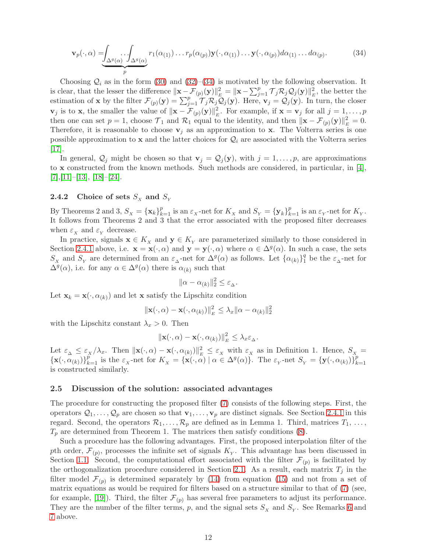<span id="page-11-1"></span>
$$
\mathbf{v}_p(\cdot,\alpha) = \underbrace{\int_{\Delta^g(\alpha)} \int_{\Delta^g(\alpha)} r_1(\alpha_{(1)}) \dots r_p(\alpha_{(p)}) \mathbf{y}(\cdot,\alpha_{(1)}) \dots \mathbf{y}(\cdot,\alpha_{(p)}) d\alpha_{(1)} \dots d\alpha_{(p)}}_{p}.
$$
 (34)

Choosing  $\mathcal{Q}_i$  as in the form [\(30\)](#page-10-4) and [\(32\)](#page-10-5)–[\(34\)](#page-11-1) is motivated by the following observation. It is clear, that the lesser the difference  $\|\mathbf{x}-\mathcal{F}_{(p)}(\mathbf{y})\|_{E}^{2} = \|\mathbf{x}-\sum_{j=1}^{p} \mathcal{T}_{j} \mathcal{R}_{j} \mathcal{Q}_{j}(\mathbf{y})\|_{E}^{2}$ , the better the estimation of **x** by the filter  $\mathcal{F}_{(p)}(\mathbf{y}) = \sum_{j=1}^p \widetilde{\mathcal{T}_j \mathcal{R}_j Q_j}(\mathbf{y})$ . Here,  $\mathbf{v}_j = \mathcal{Q}_j(\mathbf{y})$ . In turn, the closer  $\mathbf{v}_j$  is to **x**, the smaller the value of  $\|\mathbf{x} - \mathcal{F}_{(p)}(\mathbf{y})\|_E^2$ . For example, if  $\mathbf{x} = \mathbf{v}_j$  for all  $j = 1, ..., p$ then one can set  $p = 1$ , choose  $\mathcal{T}_1$  and  $\mathcal{R}_1$  equal to the identity, and then  $\|\mathbf{x} - \mathcal{F}_{(p)}(\mathbf{y})\|_{E}^2 = 0$ . Therefore, it is reasonable to choose  $v_j$  as an approximation to x. The Volterra series is one possible approximation to x and the latter choices for  $\mathcal{Q}_i$  are associated with the Volterra series [\[17\]](#page-17-11).

In general,  $\mathcal{Q}_j$  might be chosen so that  $\mathbf{v}_j = \mathcal{Q}_j(\mathbf{y})$ , with  $j = 1, \ldots, p$ , are approximations to x constructed from the known methods. Such methods are considered, in particular, in [\[4\]](#page-16-6),  $[7], [11]–[13], [18]–[24].$  $[7], [11]–[13], [18]–[24].$  $[7], [11]–[13], [18]–[24].$  $[7], [11]–[13], [18]–[24].$  $[7], [11]–[13], [18]–[24].$  $[7], [11]–[13], [18]–[24].$  $[7], [11]–[13], [18]–[24].$  $[7], [11]–[13], [18]–[24].$  $[7], [11]–[13], [18]–[24].$  $[7], [11]–[13], [18]–[24].$ 

# <span id="page-11-0"></span>2.4.2 Choice of sets  $S_X$  and  $S_Y$

By Theorems 2 and 3,  $S_x = {\mathbf{x}_k}_{k=1}^p$  is an  $\varepsilon_x$ -net for  $K_x$  and  $S_y = {\mathbf{y}_k}_{k=1}^p$  is an  $\varepsilon_y$ -net for  $K_y$ . It follows from Theorems 2 and 3 that the error associated with the proposed filter decreases when  $\varepsilon_X$  and  $\varepsilon_Y$  decrease.

In practice, signals  $\mathbf{x} \in K_{\mathbf{x}}$  and  $\mathbf{y} \in K_{\mathbf{y}}$  are parameterized similarly to those considered in Section [2.4.1](#page-10-0) above, i.e.  $\mathbf{x} = \mathbf{x}(\cdot, \alpha)$  and  $\mathbf{y} = \mathbf{y}(\cdot, \alpha)$  where  $\alpha \in \Delta^g(\alpha)$ . In such a case, the sets  $S_x$  and  $S_y$  are determined from an  $\varepsilon_{\Delta}$ -net for  $\Delta^g(\alpha)$  as follows. Let  $\{\alpha_{(k)}\}_{1}^q$  $\frac{q}{1}$  be the  $\varepsilon_{\Delta}$ -net for  $\Delta^g(\alpha)$ , i.e. for any  $\alpha \in \Delta^g(\alpha)$  there is  $\alpha_{(k)}$  such that

$$
\|\alpha-\alpha_{(k)}\|_2^2 \le \varepsilon_{\Delta}.
$$

Let  $\mathbf{x}_k = \mathbf{x}(\cdot, \alpha_{(k)})$  and let x satisfy the Lipschitz condition

$$
\|\mathbf{x}(\cdot,\alpha)-\mathbf{x}(\cdot,\alpha_{(k)})\|_{E}^{2} \leq \lambda_{x}\|\alpha-\alpha_{(k)}\|_{2}^{2}
$$

with the Lipschitz constant  $\lambda_x > 0$ . Then

$$
\|\mathbf{x}(\cdot,\alpha)-\mathbf{x}(\cdot,\alpha_{(k)})\|_{E}^{2} \leq \lambda_{x} \varepsilon_{\Delta}.
$$

Let  $\varepsilon_{\Delta} \leq \varepsilon_{X}/\lambda_{x}$ . Then  $\|\mathbf{x}(\cdot,\alpha)-\mathbf{x}(\cdot,\alpha_{(k)})\|_{E}^{2} \leq \varepsilon_{X}$  with  $\varepsilon_{X}$  as in Definition 1. Hence,  $S_{X}$  =  ${\bf x}(\cdot,\alpha_{(k)})\}_{k=1}^p$  is the  $\varepsilon_X$ -net for  $K_X = {\bf x}(\cdot,\alpha) | \alpha \in \Delta^g(\alpha)$ . The  $\varepsilon_Y$ -net  $S_Y = {\bf y}(\cdot,\alpha_{(k)})\}_{k=1}^p$  $k=1$ is constructed similarly.

# 2.5 Discussion of the solution: associated advantages

The procedure for constructing the proposed filter [\(7\)](#page-3-1) consists of the following steps. First, the operators  $\mathcal{Q}_1, \ldots, \mathcal{Q}_p$  are chosen so that  $\mathbf{v}_1, \ldots, \mathbf{v}_p$  are distinct signals. See Section [2.4.1](#page-10-0) in this regard. Second, the operators  $\mathcal{R}_1, \ldots, \mathcal{R}_p$  are defined as in Lemma 1. Third, matrices  $T_1, \ldots,$  $T_p$  are determined from Theorem 1. The matrices then satisfy conditions  $(8)$ .

Such a procedure has the following advantages. First, the proposed interpolation filter of the pth order,  $\mathcal{F}_{(p)}$ , processes the infinite set of signals  $K_{Y}$ . This advantage has been discussed in Section [1.1.](#page-0-2) Second, the computational effort associated with the filter  $\mathcal{F}_{(p)}$  is facilitated by the orthogonalization procedure considered in Section [2.1.](#page-4-1) As a result, each matrix  $T_i$  in the filter model  $\mathcal{F}_{(p)}$  is determined separately by [\(14\)](#page-6-6) from equation [\(15\)](#page-6-2) and not from a set of matrix equations as would be required for filters based on a structure similar to that of [\(7\)](#page-3-1) (see, for example, [\[19\]](#page-17-13)). Third, the filter  $\mathcal{F}_{(p)}$  has several free parameters to adjust its performance. They are the number of the filter terms,  $p$ , and the signal sets  $S<sub>x</sub>$  and  $S<sub>y</sub>$ . See Remarks [6](#page-9-0) and [7](#page-9-1) above.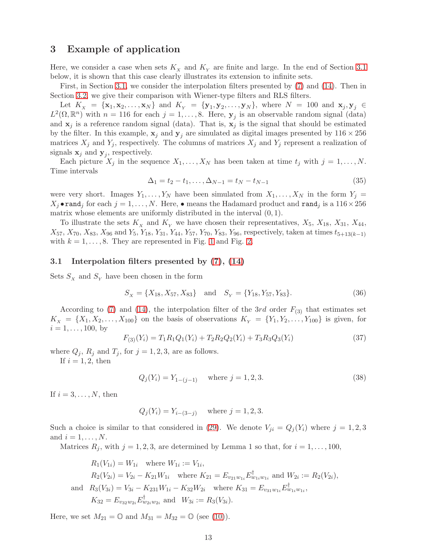# 3 Example of application

Here, we consider a case when sets  $K_{\chi}$  and  $K_{\gamma}$  are finite and large. In the end of Section [3.1](#page-12-0) below, it is shown that this case clearly illustrates its extension to infinite sets.

First, in Section [3.1,](#page-12-0) we consider the interpolation filters presented by [\(7\)](#page-3-1) and [\(14\)](#page-6-6). Then in Section [3.2,](#page-16-7) we give their comparison with Wiener-type filters and RLS filters.

Let  $K_x = \{x_1, x_2, ..., x_N\}$  and  $K_y = \{y_1, y_2, ..., y_N\}$ , where  $N = 100$  and  $x_j, y_j \in$  $L^2(\Omega,\mathbb{R}^n)$  with  $n=116$  for each  $j=1,\ldots,8$ . Here,  $\mathbf{y}_j$  is an observable random signal (data) and  $x_j$  is a reference random signal (data). That is,  $x_j$  is the signal that should be estimated by the filter. In this example,  $x_j$  and  $y_j$  are simulated as digital images presented by  $116 \times 256$ matrices  $X_j$  and  $Y_j$ , respectively. The columns of matrices  $X_j$  and  $Y_j$  represent a realization of signals  $\mathbf{x}_j$  and  $\mathbf{y}_j$ , respectively.

Each picture  $X_j$  in the sequence  $X_1, \ldots, X_N$  has been taken at time  $t_j$  with  $j = 1, \ldots, N$ . Time intervals

<span id="page-12-3"></span>
$$
\Delta_1 = t_2 - t_1, \dots, \Delta_{N-1} = t_N - t_{N-1} \tag{35}
$$

were very short. Images  $Y_1, \ldots, Y_N$  have been simulated from  $X_1, \ldots, X_N$  in the form  $Y_j =$  $X_j \cdot \texttt{rand}_j$  for each  $j = 1, ..., N$ . Here,  $\bullet$  means the Hadamard product and  $\texttt{rand}_j$  is a  $116 \times 256$ matrix whose elements are uniformly distributed in the interval  $(0, 1)$ .

To illustrate the sets  $K_x$  and  $K_y$  we have chosen their representatives,  $X_5$ ,  $X_{18}$ ,  $X_{31}$ ,  $X_{44}$ ,  $X_{57}$ ,  $X_{70}$ ,  $X_{83}$ ,  $X_{96}$  and  $Y_5$ ,  $Y_{18}$ ,  $Y_{31}$ ,  $Y_{44}$ ,  $Y_{57}$ ,  $Y_{70}$ ,  $Y_{83}$ ,  $Y_{96}$ , respectively, taken at times  $t_{5+13(k-1)}$ with  $k = 1, \ldots, 8$  $k = 1, \ldots, 8$  $k = 1, \ldots, 8$ . They are represented in Fig. 1 and Fig. [2.](#page-15-0)

### <span id="page-12-0"></span>3.1 Interpolation filters presented by [\(7\)](#page-3-1), [\(14\)](#page-6-6)

Sets  $S_X$  and  $S_Y$  have been chosen in the form

<span id="page-12-4"></span>
$$
S_X = \{X_{18}, X_{57}, X_{83}\} \text{ and } S_Y = \{Y_{18}, Y_{57}, Y_{83}\}.
$$
 (36)

According to [\(7\)](#page-3-1) and [\(14\)](#page-6-6), the interpolation filter of the 3rd order  $F_{(3)}$  that estimates set  $K_X = \{X_1, X_2, \ldots, X_{100}\}\$  on the basis of observations  $K_Y = \{Y_1, Y_2, \ldots, Y_{100}\}\$ is given, for  $i = 1, \ldots, 100$ , by

<span id="page-12-1"></span>
$$
F_{(3)}(Y_i) = T_1 R_1 Q_1(Y_i) + T_2 R_2 Q_2(Y_i) + T_3 R_3 Q_3(Y_i)
$$
\n(37)

where  $Q_j$ ,  $R_j$  and  $T_j$ , for  $j = 1, 2, 3$ , are as follows.

If  $i = 1, 2$ , then

<span id="page-12-2"></span>
$$
Q_j(Y_i) = Y_{1-(j-1)} \quad \text{where } j = 1, 2, 3. \tag{38}
$$

If  $i = 3, \ldots, N$ , then

 $Q_i(Y_i) = Y_{i-(3-i)}$  where  $j = 1, 2, 3$ .

Such a choice is similar to that considered in [\(29\)](#page-10-6). We denote  $V_{ji} = Q_j(Y_i)$  where  $j = 1, 2, 3$ and  $i=1,\ldots,N$ .

Matrices  $R_j$ , with  $j = 1, 2, 3$ , are determined by Lemma 1 so that, for  $i = 1, \ldots, 100$ ,

$$
R_1(V_{1i}) = W_{1i} \text{ where } W_{1i} := V_{1i},
$$
  
\n
$$
R_2(V_{2i}) = V_{2i} - K_{21}W_{1i} \text{ where } K_{21} = E_{v_{21}w_{1i}}E_{w_{1i}w_{1i}}^{\dagger} \text{ and } W_{2i} := R_2(V_{2i}),
$$
  
\nand 
$$
R_3(V_{3i}) = V_{3i} - K_{231}W_{1i} - K_{32}W_{2i} \text{ where } K_{31} = E_{v_{31}w_{1i}}E_{w_{1i}w_{1i}}^{\dagger},
$$
  
\n
$$
K_{32} = E_{v_{32}w_{2i}}E_{w_{2i}w_{2i}}^{\dagger} \text{ and } W_{3i} := R_3(V_{3i}).
$$

Here, we set  $M_{21} = \mathbb{O}$  and  $M_{31} = M_{32} = \mathbb{O}$  (see [\(10\)](#page-5-2)).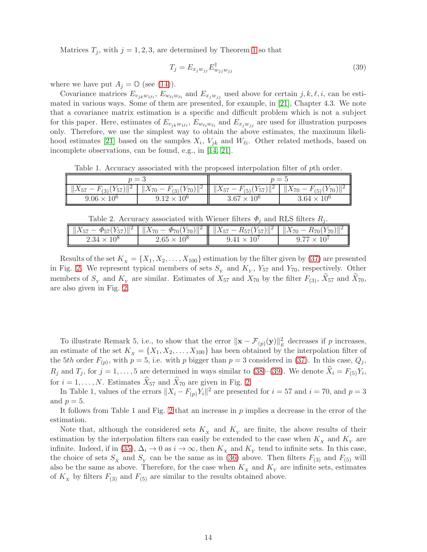Matrices  $T_j$ , with  $j = 1, 2, 3$  $j = 1, 2, 3$  $j = 1, 2, 3$ , are determined by Theorem 1 so that

<span id="page-13-0"></span>
$$
T_j = E_{x_j w_{jj}} E_{w_{jj} w_{jj}}^\dagger \tag{39}
$$

where we have put  $A_i = \mathbb{O}$  (see [\(14\)](#page-6-6)).

Covariance matrices  $E_{v_{ik}w_{1li}}$ ,  $E_{w_{li}w_{li}}$  and  $E_{x_jw_{ij}}$  used above for certain j, k,  $\ell$ , i, can be estimated in various ways. Some of them are presented, for example, in [\[21\]](#page-17-0), Chapter 4.3. We note that a covariance matrix estimation is a specific and difficult problem which is not a subject for this paper. Here, estimates of  $E_{v_{jk}w_{1\ell i}}, E_{w_{\ell i}w_{\ell i}}$  and  $E_{x_jw_{jj}}$  are used for illustration purposes only. Therefore, we use the simplest way to obtain the above estimates, the maximum likeli-hood estimates [\[21\]](#page-17-0) based on the samples  $X_i$ ,  $V_{jk}$  and  $W_{\ell i}$ . Other related methods, based on incomplete observations, can be found, e.g., in [\[14,](#page-17-14) [21\]](#page-17-0).

Table 1. Accuracy associated with the proposed interpolation filter of pth order.

| $p=3$                          |                                                  | $n = h$                                                             |                      |
|--------------------------------|--------------------------------------------------|---------------------------------------------------------------------|----------------------|
| $  X_{57}-F_{(3)}(Y_{57})  ^2$ | $\frac{1}{2}$   $\ X_{70} - F_{(3)}(Y_{70})\ ^2$ | $\  \ X_{57} - F_{(5)}(Y_{57})\ ^2 \  X_{70} - F_{(5)}(Y_{70})\ ^2$ |                      |
| $9.06 \times 10^{6}$           | $9.12 \times 10^{6}$                             | $3.67 \times 10^{6}$                                                | $3.64 \times 10^{6}$ |

|                      |                    | $  X_{57} - \Phi_{57}(Y_{57})  ^2$   $  X_{70} - \Phi_{70}(Y_{70})  ^2$    $  X_{57} - R_{57}(Y_{57})  ^2$   $  X_{70} - R_{70}(Y_{70})$ |  |
|----------------------|--------------------|------------------------------------------------------------------------------------------------------------------------------------------|--|
| $2.34 \times 10^{8}$ | $2.65 \times 10^8$ | $941 \times$                                                                                                                             |  |

Results of the set  $K_X = \{X_1, X_2, \ldots, X_{100}\}$  estimation by the filter given by [\(37\)](#page-12-1) are presented in Fig. [2.](#page-15-0) We represent typical members of sets  $S_Y$  and  $K_Y$ ,  $Y_{57}$  and  $Y_{70}$ , respectively. Other members of  $S_Y$  and  $K_Y$  are similar. Estimates of  $X_{57}$  and  $X_{70}$  by the filter  $F_{(3)}$ ,  $X_{57}$  and  $X_{70}$ , are also given in Fig. [2.](#page-15-0)

To illustrate Remark 5, i.e., to show that the error  $\|\mathbf{x} - \mathcal{F}_{(p)}(\mathbf{y})\|_{E}^{2}$  decreases if p increases, an estimate of the set  $K_X = \{X_1, X_2, \ldots, X_{100}\}\$  has been obtained by the interpolation filter of the 5th order  $F_{(p)}$ , with  $p = 5$ , i.e. with p bigger than  $p = 3$  considered in [\(37\)](#page-12-1). In this case,  $Q_j$ ,  $R_j$  and  $T_j$ , for  $j = 1, \ldots, 5$  are determined in ways similar to [\(38\)](#page-12-2)–[\(39\)](#page-13-0). We denote  $X_i = F_{(5)}Y_i$ , for  $i = 1, ..., N$ . Estimates  $\widehat{X}_{57}$  and  $\widehat{X}_{70}$  are given in Fig. [2.](#page-15-0)

In Table 1, values of the errors  $||X_i - F_{(p)}Y_i||^2$  are presented for  $i = 57$  and  $i = 70$ , and  $p = 3$ and  $p = 5$ .

It follows from Table 1 and Fig. [2](#page-15-0) that an increase in  $p$  implies a decrease in the error of the estimation.

Note that, although the considered sets  $K_X$  and  $K_Y$  are finite, the above results of their estimation by the interpolation filters can easily be extended to the case when  $K_X$  and  $K_Y$  are infinite. Indeed, if in [\(35\)](#page-12-3),  $\Delta_i \to 0$  as  $i \to \infty$ , then  $K_X$  and  $K_Y$  tend to infinite sets. In this case, the choice of sets  $S_x$  and  $S_y$  can be the same as in [\(36\)](#page-12-4) above. Then filters  $F_{(3)}$  and  $F_{(5)}$  will also be the same as above. Therefore, for the case when  $K_{\chi}$  and  $K_{\gamma}$  are infinite sets, estimates of  $K_{\chi}$  by filters  $F_{(3)}$  and  $F_{(5)}$  are similar to the results obtained above.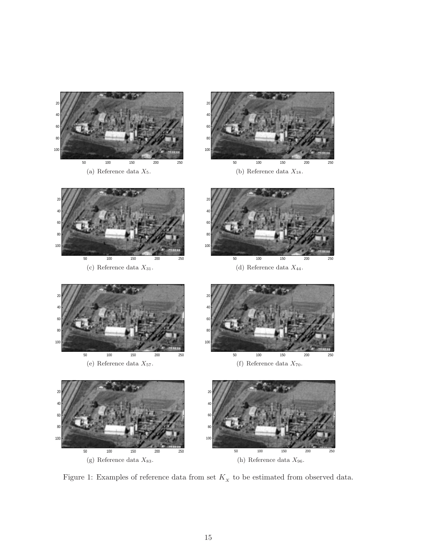

<span id="page-14-0"></span>Figure 1: Examples of reference data from set  $K_{\mathbf{x}}$  to be estimated from observed data.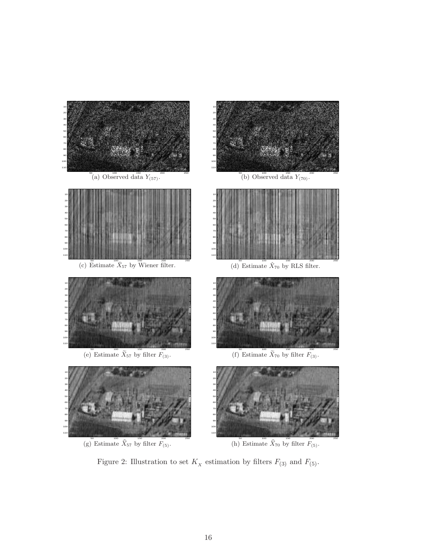

<span id="page-15-0"></span>Figure 2: Illustration to set  $K_X$  estimation by filters  $F_{(3)}$  and  $F_{(5)}$ .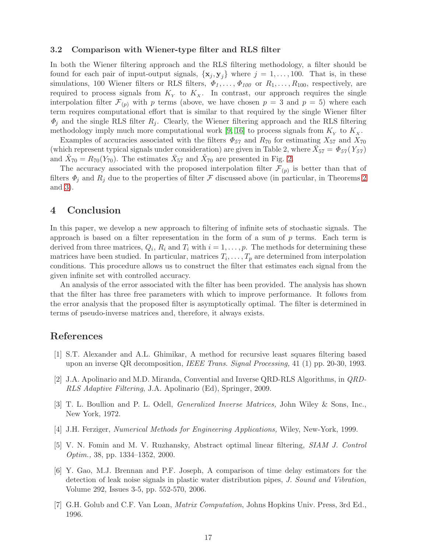### <span id="page-16-7"></span>3.2 Comparison with Wiener-type filter and RLS filter

In both the Wiener filtering approach and the RLS filtering methodology, a filter should be found for each pair of input-output signals,  $\{x_i, y_j\}$  where  $j = 1, \ldots, 100$ . That is, in these simulations, 100 Wiener filters or RLS filters,  $\Phi_1, \ldots, \Phi_{100}$  or  $R_1, \ldots, R_{100}$ , respectively, are required to process signals from  $K_Y$  to  $K_X$ . In contrast, our approach requires the single interpolation filter  $\mathcal{F}_{(p)}$  with p terms (above, we have chosen  $p = 3$  and  $p = 5$ ) where each term requires computational effort that is similar to that required by the single Wiener filter  $\Phi_i$  and the single RLS filter  $R_i$ . Clearly, the Wiener filtering approach and the RLS filtering methodology imply much more computational work [\[9,](#page-17-4) [16\]](#page-17-5) to process signals from  $K_{\scriptscriptstyle Y}$  to  $K_{\scriptscriptstyle X}$ .

Examples of accuracies associated with the filters  $\Phi_{57}$  and  $R_{70}$  for estimating  $X_{57}$  and  $X_{70}$ (which represent typical signals under consideration) are given in Table 2, where  $\bar{X}_{57} = \Phi_{57}(Y_{57})$ and  $\hat{X}_{70} = R_{70}(Y_{70})$ . The estimates  $\bar{X}_{57}$  and  $\hat{X}_{70}$  are presented in Fig. [2.](#page-15-0)

The accuracy associated with the proposed interpolation filter  $\mathcal{F}_{(p)}$  is better than that of filters  $\Phi_i$  and  $R_i$  due to the properties of filter F discussed above (in particular, in Theorems [2](#page-7-0) and [3\)](#page-7-1).

# 4 Conclusion

In this paper, we develop a new approach to filtering of infinite sets of stochastic signals. The approach is based on a filter representation in the form of a sum of  $p$  terms. Each term is derived from three matrices,  $Q_i$ ,  $R_i$  and  $T_i$  with  $i = 1, \ldots, p$ . The methods for determining these matrices have been studied. In particular, matrices  $T_i, \ldots, T_p$  are determined from interpolation conditions. This procedure allows us to construct the filter that estimates each signal from the given infinite set with controlled accuracy.

An analysis of the error associated with the filter has been provided. The analysis has shown that the filter has three free parameters with which to improve performance. It follows from the error analysis that the proposed filter is asymptotically optimal. The filter is determined in terms of pseudo-inverse matrices and, therefore, it always exists.

# <span id="page-16-2"></span>References

- [1] S.T. Alexander and A.L. Ghimikar, A method for recursive least squares filtering based upon an inverse QR decomposition, IEEE Trans. Signal Processing, 41 (1) pp. 20-30, 1993.
- <span id="page-16-3"></span>[2] J.A. Apolinario and M.D. Miranda, Convential and Inverse QRD-RLS Algorithms, in QRD-RLS Adaptive Filtering, J.A. Apolinario (Ed), Springer, 2009.
- <span id="page-16-4"></span>[3] T. L. Boullion and P. L. Odell, Generalized Inverse Matrices, John Wiley & Sons, Inc., New York, 1972.
- <span id="page-16-6"></span><span id="page-16-5"></span>[4] J.H. Ferziger, Numerical Methods for Engineering Applications, Wiley, New-York, 1999.
- [5] V. N. Fomin and M. V. Ruzhansky, Abstract optimal linear filtering, SIAM J. Control Optim., 38, pp. 1334–1352, 2000.
- <span id="page-16-0"></span>[6] Y. Gao, M.J. Brennan and P.F. Joseph, A comparison of time delay estimators for the detection of leak noise signals in plastic water distribution pipes, J. Sound and Vibration, Volume 292, Issues 3-5, pp. 552-570, 2006.
- <span id="page-16-1"></span>[7] G.H. Golub and C.F. Van Loan, Matrix Computation, Johns Hopkins Univ. Press, 3rd Ed., 1996.